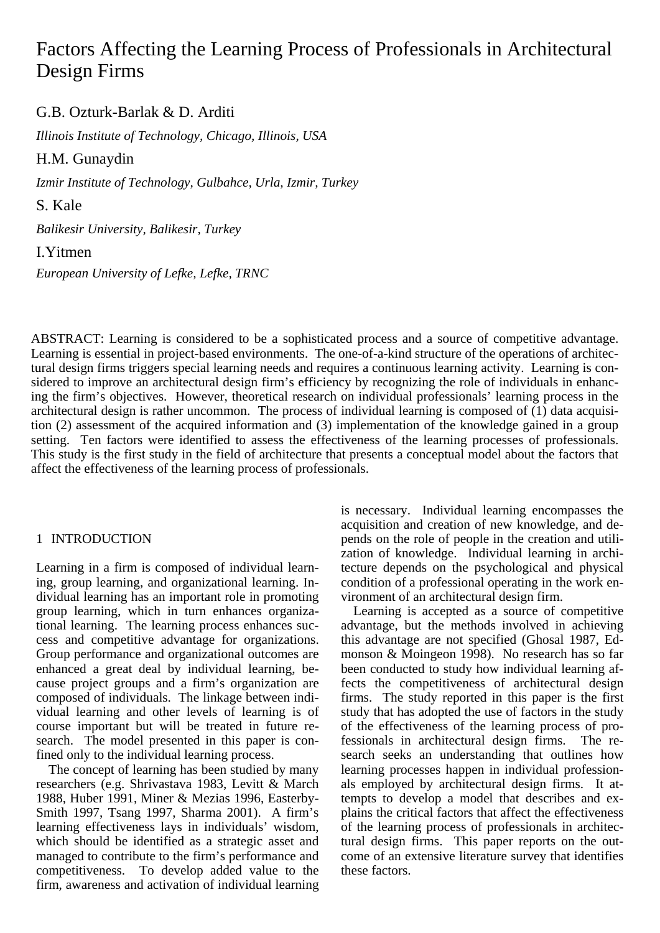# Factors Affecting the Learning Process of Professionals in Architectural Design Firms

G.B. Ozturk-Barlak & D. Arditi

*Illinois Institute of Technology, Chicago, Illinois, USA* 

H.M. Gunaydin

*Izmir Institute of Technology, Gulbahce, Urla, Izmir, Turkey* 

S. Kale

*Balikesir University, Balikesir, Turkey* 

I.Yitmen

*European University of Lefke, Lefke, TRNC* 

ABSTRACT: Learning is considered to be a sophisticated process and a source of competitive advantage. Learning is essential in project-based environments. The one-of-a-kind structure of the operations of architectural design firms triggers special learning needs and requires a continuous learning activity. Learning is considered to improve an architectural design firm's efficiency by recognizing the role of individuals in enhancing the firm's objectives. However, theoretical research on individual professionals' learning process in the architectural design is rather uncommon. The process of individual learning is composed of (1) data acquisition (2) assessment of the acquired information and (3) implementation of the knowledge gained in a group setting. Ten factors were identified to assess the effectiveness of the learning processes of professionals. This study is the first study in the field of architecture that presents a conceptual model about the factors that affect the effectiveness of the learning process of professionals.

## 1 INTRODUCTION

Learning in a firm is composed of individual learning, group learning, and organizational learning. Individual learning has an important role in promoting group learning, which in turn enhances organizational learning. The learning process enhances success and competitive advantage for organizations. Group performance and organizational outcomes are enhanced a great deal by individual learning, because project groups and a firm's organization are composed of individuals. The linkage between individual learning and other levels of learning is of course important but will be treated in future research. The model presented in this paper is confined only to the individual learning process.

The concept of learning has been studied by many researchers (e.g. Shrivastava 1983, Levitt & March 1988, Huber 1991, Miner & Mezias 1996, Easterby-Smith 1997, Tsang 1997, Sharma 2001). A firm's learning effectiveness lays in individuals' wisdom, which should be identified as a strategic asset and managed to contribute to the firm's performance and competitiveness. To develop added value to the firm, awareness and activation of individual learning

is necessary. Individual learning encompasses the acquisition and creation of new knowledge, and depends on the role of people in the creation and utilization of knowledge. Individual learning in architecture depends on the psychological and physical condition of a professional operating in the work environment of an architectural design firm.

Learning is accepted as a source of competitive advantage, but the methods involved in achieving this advantage are not specified (Ghosal 1987, Edmonson & Moingeon 1998). No research has so far been conducted to study how individual learning affects the competitiveness of architectural design firms. The study reported in this paper is the first study that has adopted the use of factors in the study of the effectiveness of the learning process of professionals in architectural design firms. The research seeks an understanding that outlines how learning processes happen in individual professionals employed by architectural design firms. It attempts to develop a model that describes and explains the critical factors that affect the effectiveness of the learning process of professionals in architectural design firms. This paper reports on the outcome of an extensive literature survey that identifies these factors.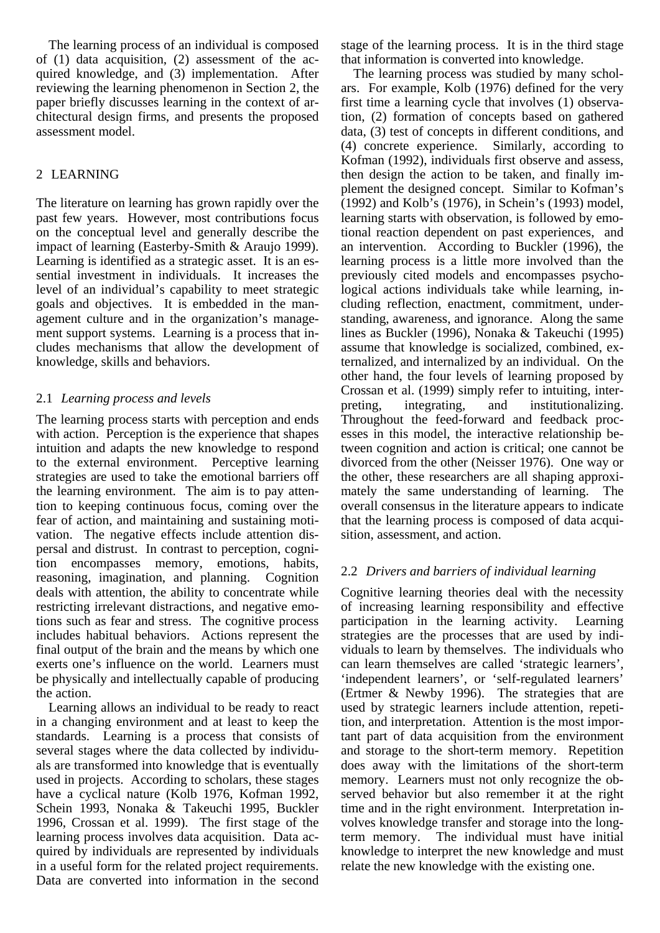The learning process of an individual is composed of (1) data acquisition, (2) assessment of the acquired knowledge, and (3) implementation. After reviewing the learning phenomenon in Section 2, the paper briefly discusses learning in the context of architectural design firms, and presents the proposed assessment model.

## 2 LEARNING

The literature on learning has grown rapidly over the past few years. However, most contributions focus on the conceptual level and generally describe the impact of learning (Easterby-Smith & Araujo 1999). Learning is identified as a strategic asset. It is an essential investment in individuals. It increases the level of an individual's capability to meet strategic goals and objectives. It is embedded in the management culture and in the organization's management support systems. Learning is a process that includes mechanisms that allow the development of knowledge, skills and behaviors.

## 2.1 *Learning process and levels*

The learning process starts with perception and ends with action. Perception is the experience that shapes intuition and adapts the new knowledge to respond to the external environment. Perceptive learning strategies are used to take the emotional barriers off the learning environment. The aim is to pay attention to keeping continuous focus, coming over the fear of action, and maintaining and sustaining motivation. The negative effects include attention dispersal and distrust. In contrast to perception, cognition encompasses memory, emotions, habits, reasoning, imagination, and planning. Cognition deals with attention, the ability to concentrate while restricting irrelevant distractions, and negative emotions such as fear and stress. The cognitive process includes habitual behaviors. Actions represent the final output of the brain and the means by which one exerts one's influence on the world. Learners must be physically and intellectually capable of producing the action.

Learning allows an individual to be ready to react in a changing environment and at least to keep the standards. Learning is a process that consists of several stages where the data collected by individuals are transformed into knowledge that is eventually used in projects. According to scholars, these stages have a cyclical nature (Kolb 1976, Kofman 1992, Schein 1993, Nonaka & Takeuchi 1995, Buckler 1996, Crossan et al. 1999). The first stage of the learning process involves data acquisition. Data acquired by individuals are represented by individuals in a useful form for the related project requirements. Data are converted into information in the second

stage of the learning process. It is in the third stage that information is converted into knowledge.

The learning process was studied by many scholars. For example, Kolb (1976) defined for the very first time a learning cycle that involves (1) observation, (2) formation of concepts based on gathered data, (3) test of concepts in different conditions, and (4) concrete experience. Similarly, according to Kofman (1992), individuals first observe and assess, then design the action to be taken, and finally implement the designed concept. Similar to Kofman's (1992) and Kolb's (1976), in Schein's (1993) model, learning starts with observation, is followed by emotional reaction dependent on past experiences, and an intervention. According to Buckler (1996), the learning process is a little more involved than the previously cited models and encompasses psychological actions individuals take while learning, including reflection, enactment, commitment, understanding, awareness, and ignorance. Along the same lines as Buckler (1996), Nonaka & Takeuchi (1995) assume that knowledge is socialized, combined, externalized, and internalized by an individual. On the other hand, the four levels of learning proposed by Crossan et al. (1999) simply refer to intuiting, interpreting, integrating, and institutionalizing. Throughout the feed-forward and feedback processes in this model, the interactive relationship between cognition and action is critical; one cannot be divorced from the other (Neisser 1976). One way or the other, these researchers are all shaping approximately the same understanding of learning. The overall consensus in the literature appears to indicate that the learning process is composed of data acquisition, assessment, and action.

## 2.2 *Drivers and barriers of individual learning*

Cognitive learning theories deal with the necessity of increasing learning responsibility and effective participation in the learning activity. Learning strategies are the processes that are used by individuals to learn by themselves. The individuals who can learn themselves are called 'strategic learners', 'independent learners', or 'self-regulated learners' (Ertmer & Newby 1996). The strategies that are used by strategic learners include attention, repetition, and interpretation. Attention is the most important part of data acquisition from the environment and storage to the short-term memory. Repetition does away with the limitations of the short-term memory. Learners must not only recognize the observed behavior but also remember it at the right time and in the right environment. Interpretation involves knowledge transfer and storage into the longterm memory. The individual must have initial knowledge to interpret the new knowledge and must relate the new knowledge with the existing one.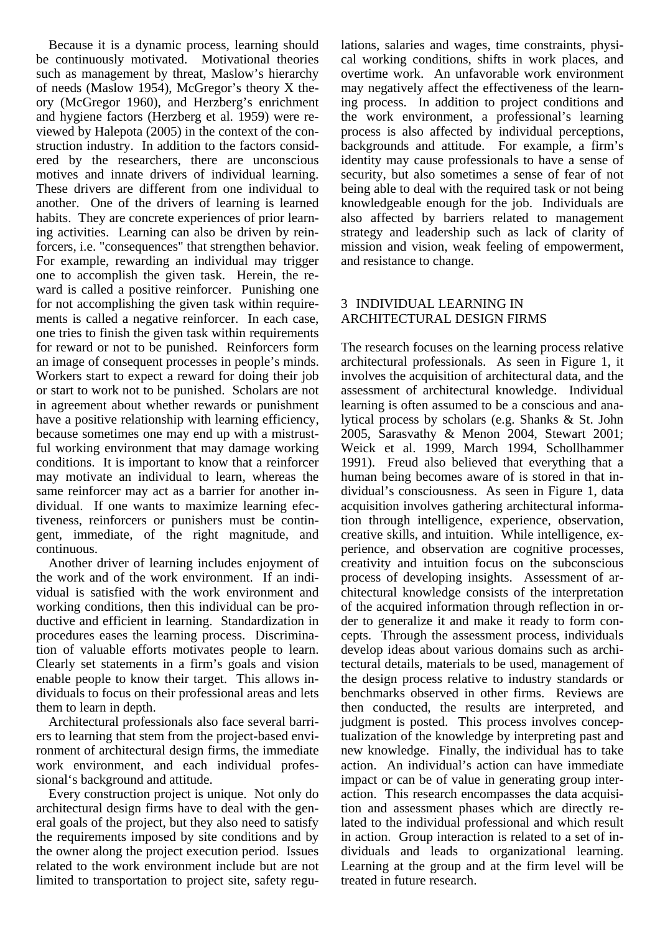Because it is a dynamic process, learning should be continuously motivated. Motivational theories such as management by threat, Maslow's hierarchy of needs (Maslow 1954), McGregor's theory X theory (McGregor 1960), and Herzberg's enrichment and hygiene factors (Herzberg et al. 1959) were reviewed by Halepota (2005) in the context of the construction industry. In addition to the factors considered by the researchers, there are unconscious motives and innate drivers of individual learning. These drivers are different from one individual to another. One of the drivers of learning is learned habits. They are concrete experiences of prior learning activities. Learning can also be driven by reinforcers, i.e. "consequences" that strengthen behavior. For example, rewarding an individual may trigger one to accomplish the given task. Herein, the reward is called a positive reinforcer. Punishing one for not accomplishing the given task within requirements is called a negative reinforcer. In each case, one tries to finish the given task within requirements for reward or not to be punished. Reinforcers form an image of consequent processes in people's minds. Workers start to expect a reward for doing their job or start to work not to be punished. Scholars are not in agreement about whether rewards or punishment have a positive relationship with learning efficiency, because sometimes one may end up with a mistrustful working environment that may damage working conditions. It is important to know that a reinforcer may motivate an individual to learn, whereas the same reinforcer may act as a barrier for another individual. If one wants to maximize learning efectiveness, reinforcers or punishers must be contingent, immediate, of the right magnitude, and continuous.

Another driver of learning includes enjoyment of the work and of the work environment. If an individual is satisfied with the work environment and working conditions, then this individual can be productive and efficient in learning. Standardization in procedures eases the learning process. Discrimination of valuable efforts motivates people to learn. Clearly set statements in a firm's goals and vision enable people to know their target. This allows individuals to focus on their professional areas and lets them to learn in depth.

Architectural professionals also face several barriers to learning that stem from the project-based environment of architectural design firms, the immediate work environment, and each individual professional's background and attitude.

Every construction project is unique. Not only do architectural design firms have to deal with the general goals of the project, but they also need to satisfy the requirements imposed by site conditions and by the owner along the project execution period. Issues related to the work environment include but are not limited to transportation to project site, safety regulations, salaries and wages, time constraints, physical working conditions, shifts in work places, and overtime work. An unfavorable work environment may negatively affect the effectiveness of the learning process. In addition to project conditions and the work environment, a professional's learning process is also affected by individual perceptions, backgrounds and attitude. For example, a firm's identity may cause professionals to have a sense of security, but also sometimes a sense of fear of not being able to deal with the required task or not being knowledgeable enough for the job. Individuals are also affected by barriers related to management strategy and leadership such as lack of clarity of mission and vision, weak feeling of empowerment, and resistance to change.

## 3 INDIVIDUAL LEARNING IN ARCHITECTURAL DESIGN FIRMS

The research focuses on the learning process relative architectural professionals. As seen in Figure 1, it involves the acquisition of architectural data, and the assessment of architectural knowledge. Individual learning is often assumed to be a conscious and analytical process by scholars (e.g. Shanks & St. John 2005, Sarasvathy & Menon 2004, Stewart 2001; Weick et al. 1999, March 1994, Schollhammer 1991). Freud also believed that everything that a human being becomes aware of is stored in that individual's consciousness. As seen in Figure 1, data acquisition involves gathering architectural information through intelligence, experience, observation, creative skills, and intuition. While intelligence, experience, and observation are cognitive processes, creativity and intuition focus on the subconscious process of developing insights. Assessment of architectural knowledge consists of the interpretation of the acquired information through reflection in order to generalize it and make it ready to form concepts. Through the assessment process, individuals develop ideas about various domains such as architectural details, materials to be used, management of the design process relative to industry standards or benchmarks observed in other firms. Reviews are then conducted, the results are interpreted, and judgment is posted. This process involves conceptualization of the knowledge by interpreting past and new knowledge. Finally, the individual has to take action. An individual's action can have immediate impact or can be of value in generating group interaction. This research encompasses the data acquisition and assessment phases which are directly related to the individual professional and which result in action. Group interaction is related to a set of individuals and leads to organizational learning. Learning at the group and at the firm level will be treated in future research.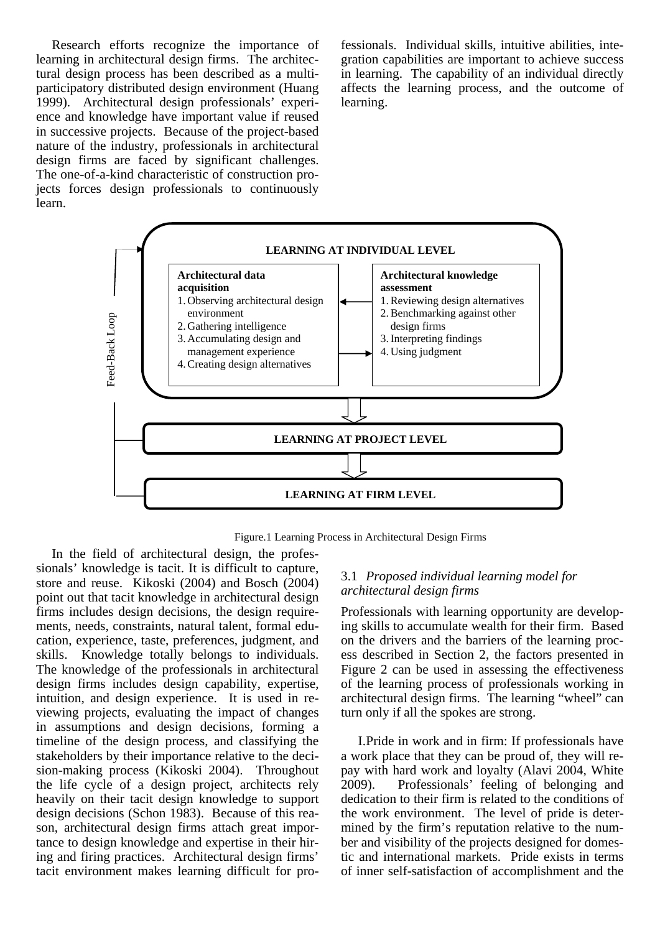Research efforts recognize the importance of learning in architectural design firms. The architectural design process has been described as a multiparticipatory distributed design environment (Huang 1999). Architectural design professionals' experience and knowledge have important value if reused in successive projects. Because of the project-based nature of the industry, professionals in architectural design firms are faced by significant challenges. The one-of-a-kind characteristic of construction projects forces design professionals to continuously learn.

fessionals. Individual skills, intuitive abilities, integration capabilities are important to achieve success in learning. The capability of an individual directly affects the learning process, and the outcome of learning.



Figure.1 Learning Process in Architectural Design Firms

In the field of architectural design, the professionals' knowledge is tacit. It is difficult to capture, store and reuse. Kikoski (2004) and Bosch (2004) point out that tacit knowledge in architectural design firms includes design decisions, the design requirements, needs, constraints, natural talent, formal education, experience, taste, preferences, judgment, and skills. Knowledge totally belongs to individuals. The knowledge of the professionals in architectural design firms includes design capability, expertise, intuition, and design experience. It is used in reviewing projects, evaluating the impact of changes in assumptions and design decisions, forming a timeline of the design process, and classifying the stakeholders by their importance relative to the decision-making process (Kikoski 2004). Throughout the life cycle of a design project, architects rely heavily on their tacit design knowledge to support design decisions (Schon 1983). Because of this reason, architectural design firms attach great importance to design knowledge and expertise in their hiring and firing practices. Architectural design firms' tacit environment makes learning difficult for pro-

### 3.1 *Proposed individual learning model for architectural design firms*

Professionals with learning opportunity are developing skills to accumulate wealth for their firm. Based on the drivers and the barriers of the learning process described in Section 2, the factors presented in Figure 2 can be used in assessing the effectiveness of the learning process of professionals working in architectural design firms. The learning "wheel" can turn only if all the spokes are strong.

I.Pride in work and in firm: If professionals have a work place that they can be proud of, they will repay with hard work and loyalty (Alavi 2004, White 2009). Professionals' feeling of belonging and dedication to their firm is related to the conditions of the work environment. The level of pride is determined by the firm's reputation relative to the number and visibility of the projects designed for domestic and international markets. Pride exists in terms of inner self-satisfaction of accomplishment and the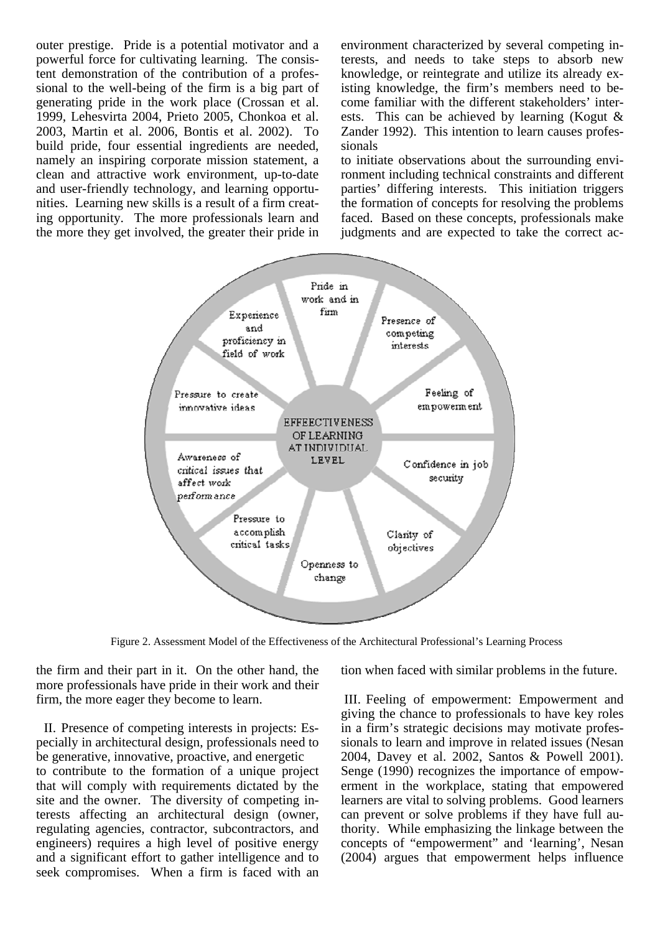outer prestige. Pride is a potential motivator and a powerful force for cultivating learning. The consistent demonstration of the contribution of a professional to the well-being of the firm is a big part of generating pride in the work place (Crossan et al. 1999, Lehesvirta 2004, Prieto 2005, Chonkoa et al. 2003, Martin et al. 2006, Bontis et al. 2002). To build pride, four essential ingredients are needed, namely an inspiring corporate mission statement, a clean and attractive work environment, up-to-date and user-friendly technology, and learning opportunities. Learning new skills is a result of a firm creating opportunity. The more professionals learn and the more they get involved, the greater their pride in

environment characterized by several competing interests, and needs to take steps to absorb new knowledge, or reintegrate and utilize its already existing knowledge, the firm's members need to become familiar with the different stakeholders' interests. This can be achieved by learning (Kogut & Zander 1992). This intention to learn causes professionals

to initiate observations about the surrounding environment including technical constraints and different parties' differing interests. This initiation triggers the formation of concepts for resolving the problems faced. Based on these concepts, professionals make judgments and are expected to take the correct ac-



Figure 2. Assessment Model of the Effectiveness of the Architectural Professional's Learning Process

the firm and their part in it. On the other hand, the more professionals have pride in their work and their firm, the more eager they become to learn.

II. Presence of competing interests in projects: Especially in architectural design, professionals need to be generative, innovative, proactive, and energetic to contribute to the formation of a unique project that will comply with requirements dictated by the site and the owner. The diversity of competing interests affecting an architectural design (owner, regulating agencies, contractor, subcontractors, and engineers) requires a high level of positive energy and a significant effort to gather intelligence and to seek compromises. When a firm is faced with an

tion when faced with similar problems in the future.

III. Feeling of empowerment: Empowerment and giving the chance to professionals to have key roles in a firm's strategic decisions may motivate professionals to learn and improve in related issues (Nesan 2004, Davey et al. 2002, Santos & Powell 2001). Senge (1990) recognizes the importance of empowerment in the workplace, stating that empowered learners are vital to solving problems. Good learners can prevent or solve problems if they have full authority. While emphasizing the linkage between the concepts of "empowerment" and 'learning', Nesan (2004) argues that empowerment helps influence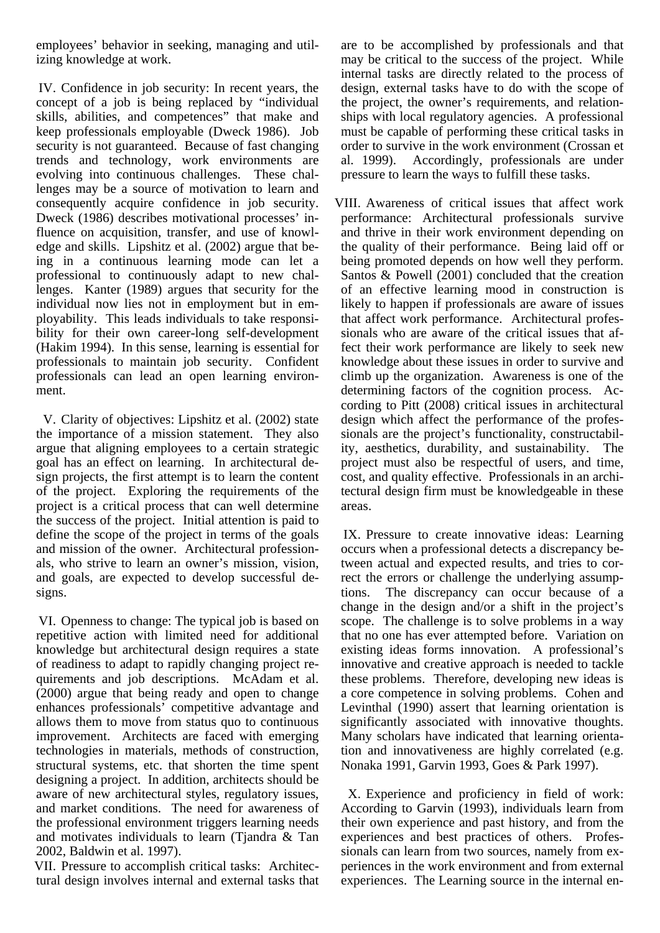employees' behavior in seeking, managing and utilizing knowledge at work.

IV. Confidence in job security: In recent years, the concept of a job is being replaced by "individual skills, abilities, and competences" that make and keep professionals employable (Dweck 1986). Job security is not guaranteed. Because of fast changing trends and technology, work environments are evolving into continuous challenges. These challenges may be a source of motivation to learn and consequently acquire confidence in job security. Dweck (1986) describes motivational processes' influence on acquisition, transfer, and use of knowledge and skills. Lipshitz et al. (2002) argue that being in a continuous learning mode can let a professional to continuously adapt to new challenges. Kanter (1989) argues that security for the individual now lies not in employment but in employability. This leads individuals to take responsibility for their own career-long self-development (Hakim 1994). In this sense, learning is essential for professionals to maintain job security. Confident professionals can lead an open learning environment.

V. Clarity of objectives: Lipshitz et al. (2002) state the importance of a mission statement. They also argue that aligning employees to a certain strategic goal has an effect on learning. In architectural design projects, the first attempt is to learn the content of the project. Exploring the requirements of the project is a critical process that can well determine the success of the project. Initial attention is paid to define the scope of the project in terms of the goals and mission of the owner. Architectural professionals, who strive to learn an owner's mission, vision, and goals, are expected to develop successful designs.

VI. Openness to change: The typical job is based on repetitive action with limited need for additional knowledge but architectural design requires a state of readiness to adapt to rapidly changing project requirements and job descriptions. McAdam et al. (2000) argue that being ready and open to change enhances professionals' competitive advantage and allows them to move from status quo to continuous improvement. Architects are faced with emerging technologies in materials, methods of construction, structural systems, etc. that shorten the time spent designing a project. In addition, architects should be aware of new architectural styles, regulatory issues, and market conditions. The need for awareness of the professional environment triggers learning needs and motivates individuals to learn (Tjandra & Tan 2002, Baldwin et al. 1997).

VII. Pressure to accomplish critical tasks: Architectural design involves internal and external tasks that are to be accomplished by professionals and that may be critical to the success of the project. While internal tasks are directly related to the process of design, external tasks have to do with the scope of the project, the owner's requirements, and relationships with local regulatory agencies. A professional must be capable of performing these critical tasks in order to survive in the work environment (Crossan et al. 1999). Accordingly, professionals are under pressure to learn the ways to fulfill these tasks.

VIII. Awareness of critical issues that affect work performance: Architectural professionals survive and thrive in their work environment depending on the quality of their performance. Being laid off or being promoted depends on how well they perform. Santos & Powell (2001) concluded that the creation of an effective learning mood in construction is likely to happen if professionals are aware of issues that affect work performance. Architectural professionals who are aware of the critical issues that affect their work performance are likely to seek new knowledge about these issues in order to survive and climb up the organization. Awareness is one of the determining factors of the cognition process. According to Pitt (2008) critical issues in architectural design which affect the performance of the professionals are the project's functionality, constructability, aesthetics, durability, and sustainability. The project must also be respectful of users, and time, cost, and quality effective. Professionals in an architectural design firm must be knowledgeable in these areas.

IX. Pressure to create innovative ideas: Learning occurs when a professional detects a discrepancy between actual and expected results, and tries to correct the errors or challenge the underlying assumptions. The discrepancy can occur because of a change in the design and/or a shift in the project's scope. The challenge is to solve problems in a way that no one has ever attempted before. Variation on existing ideas forms innovation. A professional's innovative and creative approach is needed to tackle these problems. Therefore, developing new ideas is a core competence in solving problems. Cohen and Levinthal (1990) assert that learning orientation is significantly associated with innovative thoughts. Many scholars have indicated that learning orientation and innovativeness are highly correlated (e.g. Nonaka 1991, Garvin 1993, Goes & Park 1997).

X. Experience and proficiency in field of work: According to Garvin (1993), individuals learn from their own experience and past history, and from the experiences and best practices of others. Professionals can learn from two sources, namely from experiences in the work environment and from external experiences. The Learning source in the internal en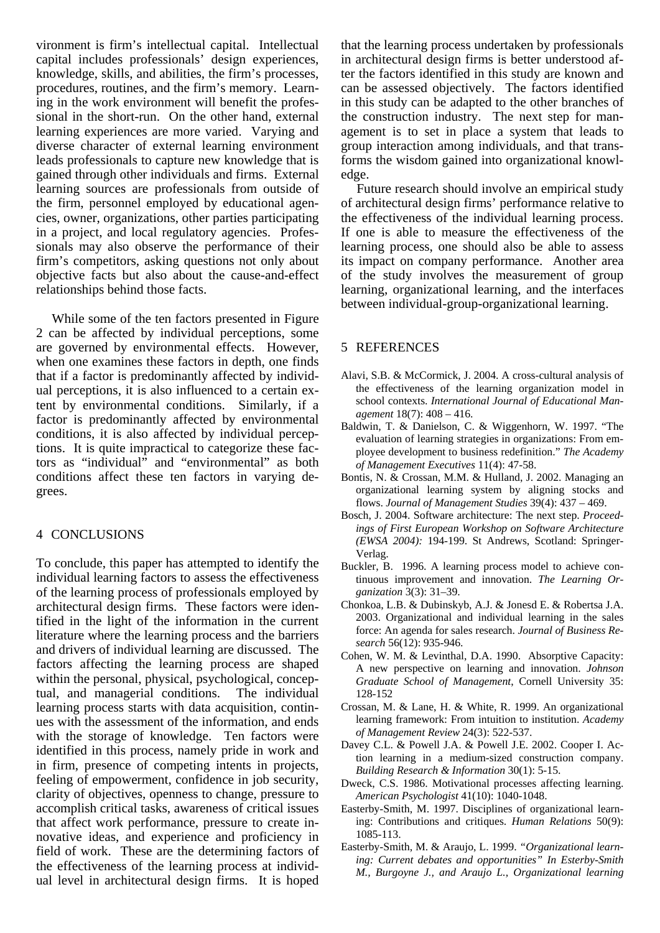vironment is firm's intellectual capital. Intellectual capital includes professionals' design experiences, knowledge, skills, and abilities, the firm's processes, procedures, routines, and the firm's memory. Learning in the work environment will benefit the professional in the short-run. On the other hand, external learning experiences are more varied. Varying and diverse character of external learning environment leads professionals to capture new knowledge that is gained through other individuals and firms. External learning sources are professionals from outside of the firm, personnel employed by educational agencies, owner, organizations, other parties participating in a project, and local regulatory agencies. Professionals may also observe the performance of their firm's competitors, asking questions not only about objective facts but also about the cause-and-effect relationships behind those facts.

While some of the ten factors presented in Figure 2 can be affected by individual perceptions, some are governed by environmental effects. However, when one examines these factors in depth, one finds that if a factor is predominantly affected by individual perceptions, it is also influenced to a certain extent by environmental conditions. Similarly, if a factor is predominantly affected by environmental conditions, it is also affected by individual perceptions. It is quite impractical to categorize these factors as "individual" and "environmental" as both conditions affect these ten factors in varying degrees.

## 4 CONCLUSIONS

To conclude, this paper has attempted to identify the individual learning factors to assess the effectiveness of the learning process of professionals employed by architectural design firms. These factors were identified in the light of the information in the current literature where the learning process and the barriers and drivers of individual learning are discussed. The factors affecting the learning process are shaped within the personal, physical, psychological, conceptual, and managerial conditions. The individual learning process starts with data acquisition, continues with the assessment of the information, and ends with the storage of knowledge. Ten factors were identified in this process, namely pride in work and in firm, presence of competing intents in projects, feeling of empowerment, confidence in job security, clarity of objectives, openness to change, pressure to accomplish critical tasks, awareness of critical issues that affect work performance, pressure to create innovative ideas, and experience and proficiency in field of work. These are the determining factors of the effectiveness of the learning process at individual level in architectural design firms. It is hoped that the learning process undertaken by professionals in architectural design firms is better understood after the factors identified in this study are known and can be assessed objectively. The factors identified in this study can be adapted to the other branches of the construction industry. The next step for management is to set in place a system that leads to group interaction among individuals, and that transforms the wisdom gained into organizational knowledge.

Future research should involve an empirical study of architectural design firms' performance relative to the effectiveness of the individual learning process. If one is able to measure the effectiveness of the learning process, one should also be able to assess its impact on company performance. Another area of the study involves the measurement of group learning, organizational learning, and the interfaces between individual-group-organizational learning.

#### 5 REFERENCES

- Alavi, S.B. & McCormick, J. 2004. A cross-cultural analysis of the effectiveness of the learning organization model in school contexts. *International Journal of Educational Management* 18(7): 408 – 416.
- Baldwin, T. & Danielson, C. & Wiggenhorn, W. 1997. "The evaluation of learning strategies in organizations: From employee development to business redefinition." *The Academy of Management Executives* 11(4): 47-58.
- Bontis, N. & Crossan, M.M. & Hulland, J. 2002. Managing an organizational learning system by aligning stocks and flows. *Journal of Management Studies* 39(4): 437 – 469.
- Bosch, J. 2004. Software architecture: The next step. *Proceedings of First European Workshop on Software Architecture (EWSA 2004):* 194-199. St Andrews, Scotland: Springer-Verlag.
- Buckler, B. 1996. A learning process model to achieve continuous improvement and innovation. *The Learning Organization* 3(3): 31–39.
- Chonkoa, L.B. & Dubinskyb, A.J. & Jonesd E. & Robertsa J.A. 2003. Organizational and individual learning in the sales force: An agenda for sales research. *Journal of Business Research* 56(12): 935-946.
- Cohen, W. M. & Levinthal, D.A. 1990. Absorptive Capacity: A new perspective on learning and innovation. *Johnson Graduate School of Management*, Cornell University 35: 128-152
- Crossan, M. & Lane, H. & White, R. 1999. An organizational learning framework: From intuition to institution. *Academy of Management Review* 24(3): 522-537.
- Davey C.L. & Powell J.A. & Powell J.E. 2002. Cooper I. Action learning in a medium-sized construction company. *Building Research & Information* 30(1): 5-15.
- Dweck, C.S. 1986. Motivational processes affecting learning. *American Psychologist* 41(10): 1040-1048.
- Easterby-Smith, M. 1997. Disciplines of organizational learning: Contributions and critiques. *Human Relations* 50(9): 1085-113.
- Easterby-Smith, M. & Araujo, L. 1999. *"Organizational learning: Current debates and opportunities" In Esterby-Smith M., Burgoyne J., and Araujo L., Organizational learning*